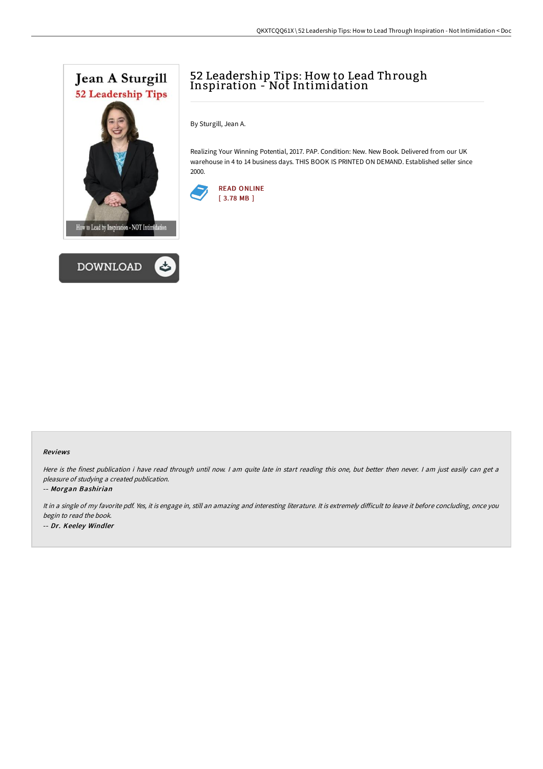



# 52 Leadership Tips: How to Lead Through Inspiration - Not Intimidation

By Sturgill, Jean A.

Realizing Your Winning Potential, 2017. PAP. Condition: New. New Book. Delivered from our UK warehouse in 4 to 14 business days. THIS BOOK IS PRINTED ON DEMAND. Established seller since 2000.



#### Reviews

Here is the finest publication i have read through until now. I am quite late in start reading this one, but better then never. I am just easily can get a pleasure of studying <sup>a</sup> created publication.

#### -- Morgan Bashirian

It in a single of my favorite pdf. Yes, it is engage in, still an amazing and interesting literature. It is extremely difficult to leave it before concluding, once you begin to read the book. -- Dr. Keeley Windler